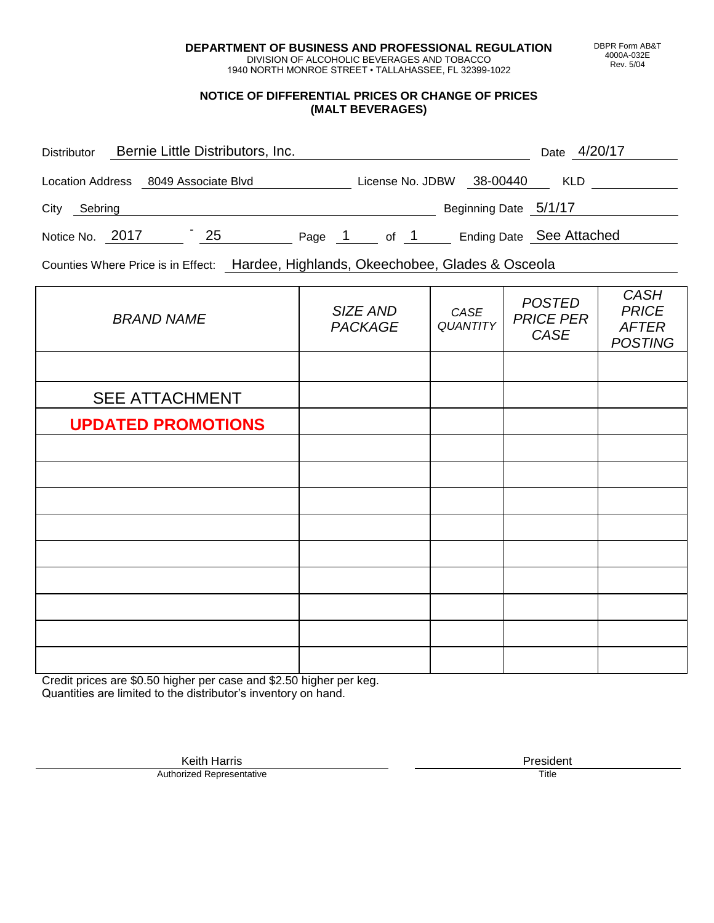**DEPARTMENT OF BUSINESS AND PROFESSIONAL REGULATION** DIVISION OF ALCOHOLIC BEVERAGES AND TOBACCO

1940 NORTH MONROE STREET • TALLAHASSEE, FL 32399-1022

#### **NOTICE OF DIFFERENTIAL PRICES OR CHANGE OF PRICES (MALT BEVERAGES)**

| <b>Distributor</b>      |                     | Bernie Little Distributors, Inc. |        |                  |                       | Date 4/20/17             |
|-------------------------|---------------------|----------------------------------|--------|------------------|-----------------------|--------------------------|
| <b>Location Address</b> | 8049 Associate Blvd |                                  |        | License No. JDBW | 38-00440              | <b>KLD</b>               |
| City<br>Sebring         |                     |                                  |        |                  | Beginning Date 5/1/17 |                          |
| Notice No. 2017         |                     | 25                               | Page 1 | of 1             |                       | Ending Date See Attached |

Counties Where Price is in Effect: Hardee, Highlands, Okeechobee, Glades & Osceola

| <b>BRAND NAME</b>         | SIZE AND<br><b>PACKAGE</b> | CASE<br><b>QUANTITY</b> | <b>POSTED</b><br><b>PRICE PER</b><br>CASE | <b>CASH</b><br><b>PRICE</b><br><b>AFTER</b><br><b>POSTING</b> |
|---------------------------|----------------------------|-------------------------|-------------------------------------------|---------------------------------------------------------------|
|                           |                            |                         |                                           |                                                               |
| <b>SEE ATTACHMENT</b>     |                            |                         |                                           |                                                               |
| <b>UPDATED PROMOTIONS</b> |                            |                         |                                           |                                                               |
|                           |                            |                         |                                           |                                                               |
|                           |                            |                         |                                           |                                                               |
|                           |                            |                         |                                           |                                                               |
|                           |                            |                         |                                           |                                                               |
|                           |                            |                         |                                           |                                                               |
|                           |                            |                         |                                           |                                                               |
|                           |                            |                         |                                           |                                                               |
|                           |                            |                         |                                           |                                                               |
|                           |                            |                         |                                           |                                                               |

Credit prices are \$0.50 higher per case and \$2.50 higher per keg. Quantities are limited to the distributor's inventory on hand.

DBPR Form AB&T 4000A-032E Rev. 5/04

Keith Harris **President**<br> **President**<br>
Prized Representative **President** Authorized Representative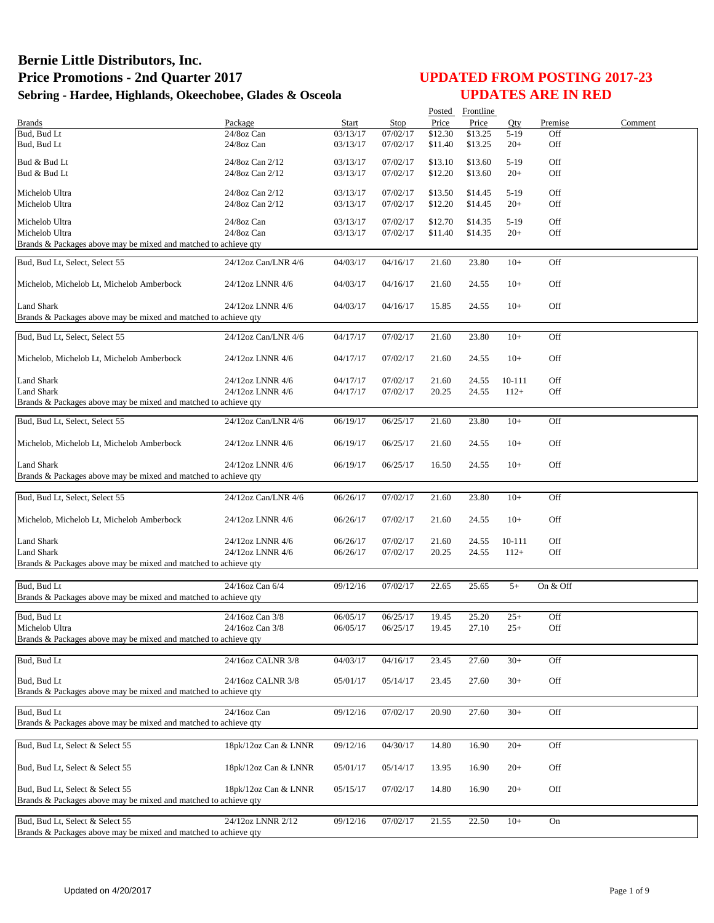|                                                                                                    |                                      |                      |                      |                    | Posted Frontline   |                  |            |         |
|----------------------------------------------------------------------------------------------------|--------------------------------------|----------------------|----------------------|--------------------|--------------------|------------------|------------|---------|
| <b>Brands</b>                                                                                      | Package                              | Start                | Stop                 | Price              | Price              | Qty              | Premise    | Comment |
| Bud, Bud Lt<br>Bud, Bud Lt                                                                         | 24/8oz Can<br>24/8oz Can             | 03/13/17<br>03/13/17 | 07/02/17<br>07/02/17 | \$12.30<br>\$11.40 | \$13.25<br>\$13.25 | $5-19$<br>$20+$  | Off<br>Off |         |
| Bud & Bud Lt                                                                                       | 24/8oz Can 2/12                      | 03/13/17             | 07/02/17             | \$13.10            | \$13.60            | $5-19$           | Off        |         |
| Bud & Bud Lt                                                                                       | 24/8oz Can 2/12                      | 03/13/17             | 07/02/17             | \$12.20            | \$13.60            | $20+$            | Off        |         |
| Michelob Ultra                                                                                     | 24/8oz Can 2/12                      | 03/13/17             | 07/02/17             | \$13.50            | \$14.45            | $5-19$           | Off        |         |
| Michelob Ultra                                                                                     | 24/8oz Can 2/12                      | 03/13/17             | 07/02/17             | \$12.20            | \$14.45            | $20+$            | Off        |         |
| Michelob Ultra                                                                                     | 24/8oz Can                           | 03/13/17             | 07/02/17             | \$12.70            | \$14.35            | $5-19$           | Off        |         |
| Michelob Ultra                                                                                     | 24/8oz Can                           | 03/13/17             | 07/02/17             | \$11.40            | \$14.35            | $20+$            | Off        |         |
| Brands & Packages above may be mixed and matched to achieve qty                                    |                                      |                      |                      |                    |                    |                  |            |         |
| Bud, Bud Lt, Select, Select 55                                                                     | 24/12oz Can/LNR 4/6                  | 04/03/17             | 04/16/17             | 21.60              | 23.80              | $10+$            | Off        |         |
| Michelob, Michelob Lt, Michelob Amberbock                                                          | 24/12oz LNNR 4/6                     | 04/03/17             | 04/16/17             | 21.60              | 24.55              | $10+$            | Off        |         |
| <b>Land Shark</b>                                                                                  | 24/12oz LNNR 4/6                     | 04/03/17             | 04/16/17             | 15.85              | 24.55              | $10+$            | Off        |         |
| Brands & Packages above may be mixed and matched to achieve qty                                    |                                      |                      |                      |                    |                    |                  |            |         |
| Bud, Bud Lt, Select, Select 55                                                                     | 24/12oz Can/LNR 4/6                  | 04/17/17             | 07/02/17             | 21.60              | 23.80              | $10+$            | Off        |         |
| Michelob, Michelob Lt, Michelob Amberbock                                                          | 24/12oz LNNR 4/6                     | 04/17/17             | 07/02/17             | 21.60              | 24.55              | $10+$            | Off        |         |
|                                                                                                    |                                      |                      |                      |                    |                    |                  |            |         |
| <b>Land Shark</b><br><b>Land Shark</b>                                                             | 24/12oz LNNR 4/6<br>24/12oz LNNR 4/6 | 04/17/17<br>04/17/17 | 07/02/17<br>07/02/17 | 21.60<br>20.25     | 24.55<br>24.55     | 10-111<br>$112+$ | Off<br>Off |         |
| Brands & Packages above may be mixed and matched to achieve qty                                    |                                      |                      |                      |                    |                    |                  |            |         |
| Bud, Bud Lt, Select, Select 55                                                                     | 24/12oz Can/LNR 4/6                  | 06/19/17             | 06/25/17             | 21.60              | 23.80              | $10+$            | Off        |         |
| Michelob, Michelob Lt, Michelob Amberbock                                                          | 24/12oz LNNR 4/6                     | 06/19/17             | 06/25/17             | 21.60              | 24.55              | $10+$            | Off        |         |
| <b>Land Shark</b>                                                                                  | 24/12oz LNNR 4/6                     | 06/19/17             | 06/25/17             | 16.50              | 24.55              | $10+$            | Off        |         |
| Brands & Packages above may be mixed and matched to achieve qty                                    |                                      |                      |                      |                    |                    |                  |            |         |
| Bud, Bud Lt, Select, Select 55                                                                     | 24/12oz Can/LNR 4/6                  | 06/26/17             | 07/02/17             | 21.60              | 23.80              | $10+$            | Off        |         |
|                                                                                                    |                                      |                      |                      |                    |                    |                  |            |         |
| Michelob, Michelob Lt, Michelob Amberbock                                                          | 24/12oz LNNR 4/6                     | 06/26/17             | 07/02/17             | 21.60              | 24.55              | $10+$            | Off        |         |
| <b>Land Shark</b>                                                                                  | 24/12oz LNNR 4/6                     | 06/26/17             | 07/02/17             | 21.60              | 24.55              | 10-111           | Off        |         |
| <b>Land Shark</b><br>Brands & Packages above may be mixed and matched to achieve qty               | 24/12oz LNNR 4/6                     | 06/26/17             | 07/02/17             | 20.25              | 24.55              | $112+$           | Off        |         |
|                                                                                                    |                                      |                      |                      |                    |                    |                  |            |         |
| Bud, Bud Lt                                                                                        | 24/16oz Can 6/4                      | 09/12/16             | 07/02/17             | 22.65              | 25.65              | $5+$             | On & Off   |         |
| Brands & Packages above may be mixed and matched to achieve qty                                    |                                      |                      |                      |                    |                    |                  |            |         |
| Bud. Bud Lt                                                                                        | 24/16oz Can 3/8                      | 06/05/17             | 06/25/17             | 19.45              | 25.20              | $25+$            | Off        |         |
| Michelob Ultra                                                                                     | 24/16oz Can 3/8                      | 06/05/17             | 06/25/17             | 19.45              | 27.10              | $25+$            | Off        |         |
| Brands & Packages above may be mixed and matched to achieve qty                                    |                                      |                      |                      |                    |                    |                  |            |         |
| Bud, Bud Lt                                                                                        | 24/16oz CALNR 3/8                    | 04/03/17             | 04/16/17             | 23.45              | 27.60              | $30+$            | Off        |         |
| Bud, Bud Lt                                                                                        | 24/16oz CALNR 3/8                    | 05/01/17             | 05/14/17             | 23.45              | 27.60              | $30+$            | Off        |         |
| Brands & Packages above may be mixed and matched to achieve qty                                    |                                      |                      |                      |                    |                    |                  |            |         |
| Bud. Bud Lt                                                                                        | 24/16oz Can                          | 09/12/16             | 07/02/17             | 20.90              | 27.60              | $30+$            | Off        |         |
| Brands & Packages above may be mixed and matched to achieve qty                                    |                                      |                      |                      |                    |                    |                  |            |         |
| Bud, Bud Lt, Select & Select 55                                                                    | 18pk/12oz Can & LNNR                 | 09/12/16             | 04/30/17             | 14.80              | 16.90              | $20+$            | Off        |         |
| Bud, Bud Lt, Select & Select 55                                                                    | 18pk/12oz Can & LNNR                 | 05/01/17             |                      |                    |                    |                  | Off        |         |
|                                                                                                    |                                      |                      | 05/14/17             | 13.95              | 16.90              | $20+$            |            |         |
| Bud, Bud Lt, Select & Select 55<br>Brands & Packages above may be mixed and matched to achieve qty | 18pk/12oz Can & LNNR                 | 05/15/17             | 07/02/17             | 14.80              | 16.90              | $20+$            | Off        |         |
|                                                                                                    |                                      |                      |                      |                    |                    |                  |            |         |
| Bud, Bud Lt, Select & Select 55<br>Brands & Packages above may be mixed and matched to achieve qty | 24/12oz LNNR 2/12                    | 09/12/16             | 07/02/17             | 21.55              | 22.50              | $10+$            | On         |         |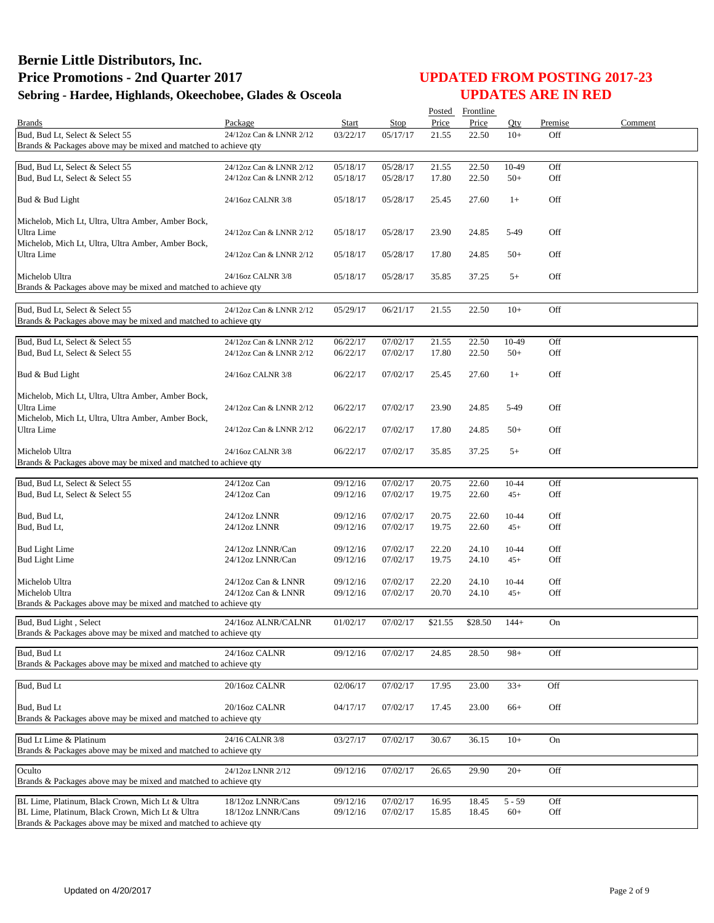|                                                                                   |                         |          |                       |         | Posted Frontline |          |         |         |
|-----------------------------------------------------------------------------------|-------------------------|----------|-----------------------|---------|------------------|----------|---------|---------|
| <b>Brands</b>                                                                     | Package                 | Start    | Stop                  | Price   | Price            | Otv      | Premise | Comment |
| Bud, Bud Lt, Select & Select 55                                                   | 24/12oz Can & LNNR 2/12 | 03/22/17 | 05/17/17              | 21.55   | 22.50            | $10+$    | Off     |         |
| Brands & Packages above may be mixed and matched to achieve qty                   |                         |          |                       |         |                  |          |         |         |
| Bud, Bud Lt, Select & Select 55                                                   | 24/12oz Can & LNNR 2/12 | 05/18/17 | $\overline{05/28/17}$ | 21.55   | 22.50            | 10-49    | Off     |         |
| Bud, Bud Lt, Select & Select 55                                                   | 24/12oz Can & LNNR 2/12 | 05/18/17 | 05/28/17              | 17.80   | 22.50            | $50+$    | Off     |         |
|                                                                                   |                         |          |                       |         |                  |          |         |         |
| Bud & Bud Light                                                                   | 24/16oz CALNR 3/8       | 05/18/17 | 05/28/17              | 25.45   | 27.60            | $1+$     | Off     |         |
| Michelob, Mich Lt, Ultra, Ultra Amber, Amber Bock,                                |                         |          |                       |         |                  |          |         |         |
| Ultra Lime                                                                        | 24/12oz Can & LNNR 2/12 | 05/18/17 | 05/28/17              | 23.90   | 24.85            | 5-49     | Off     |         |
| Michelob, Mich Lt, Ultra, Ultra Amber, Amber Bock,                                |                         |          |                       |         |                  |          |         |         |
| Ultra Lime                                                                        | 24/12oz Can & LNNR 2/12 | 05/18/17 | 05/28/17              | 17.80   | 24.85            | $50+$    | Off     |         |
|                                                                                   |                         |          |                       |         |                  |          |         |         |
| Michelob Ultra                                                                    | 24/16oz CALNR 3/8       | 05/18/17 | 05/28/17              | 35.85   | 37.25            | $5+$     | Off     |         |
| Brands & Packages above may be mixed and matched to achieve qty                   |                         |          |                       |         |                  |          |         |         |
| Bud, Bud Lt, Select & Select 55                                                   | 24/12oz Can & LNNR 2/12 | 05/29/17 | 06/21/17              | 21.55   | 22.50            | $10+$    | Off     |         |
| Brands & Packages above may be mixed and matched to achieve qty                   |                         |          |                       |         |                  |          |         |         |
|                                                                                   |                         |          |                       |         |                  |          |         |         |
| Bud, Bud Lt, Select & Select 55                                                   | 24/12oz Can & LNNR 2/12 | 06/22/17 | 07/02/17              | 21.55   | 22.50            | 10-49    | Off     |         |
| Bud, Bud Lt, Select & Select 55                                                   | 24/12oz Can & LNNR 2/12 | 06/22/17 | 07/02/17              | 17.80   | 22.50            | $50+$    | Off     |         |
|                                                                                   |                         |          |                       |         |                  |          |         |         |
| Bud & Bud Light                                                                   | 24/16oz CALNR 3/8       | 06/22/17 | 07/02/17              | 25.45   | 27.60            | $1+$     | Off     |         |
| Michelob, Mich Lt, Ultra, Ultra Amber, Amber Bock,                                |                         |          |                       |         |                  |          |         |         |
| Ultra Lime                                                                        | 24/12oz Can & LNNR 2/12 | 06/22/17 | 07/02/17              | 23.90   | 24.85            | 5-49     | Off     |         |
| Michelob, Mich Lt, Ultra, Ultra Amber, Amber Bock,                                |                         |          |                       |         |                  |          |         |         |
| Ultra Lime                                                                        | 24/12oz Can & LNNR 2/12 | 06/22/17 | 07/02/17              | 17.80   | 24.85            | $50+$    | Off     |         |
|                                                                                   |                         |          |                       |         |                  |          |         |         |
| Michelob Ultra<br>Brands & Packages above may be mixed and matched to achieve qty | 24/16oz CALNR 3/8       | 06/22/17 | 07/02/17              | 35.85   | 37.25            | $5+$     | Off     |         |
|                                                                                   |                         |          |                       |         |                  |          |         |         |
| Bud, Bud Lt, Select & Select 55                                                   | $24/12$ oz Can          | 09/12/16 | 07/02/17              | 20.75   | 22.60            | 10-44    | Off     |         |
| Bud, Bud Lt, Select & Select 55                                                   | $24/12$ oz Can          | 09/12/16 | 07/02/17              | 19.75   | 22.60            | $45+$    | Off     |         |
|                                                                                   |                         |          |                       |         |                  |          |         |         |
| Bud, Bud Lt,                                                                      | 24/12oz LNNR            | 09/12/16 | 07/02/17              | 20.75   | 22.60            | 10-44    | Off     |         |
| Bud, Bud Lt,                                                                      | 24/12oz LNNR            | 09/12/16 | 07/02/17              | 19.75   | 22.60            | $45+$    | Off     |         |
| <b>Bud Light Lime</b>                                                             | 24/12oz LNNR/Can        | 09/12/16 | 07/02/17              | 22.20   | 24.10            | 10-44    | Off     |         |
| <b>Bud Light Lime</b>                                                             | 24/12oz LNNR/Can        | 09/12/16 | 07/02/17              | 19.75   | 24.10            | $45+$    | Off     |         |
|                                                                                   |                         |          |                       |         |                  |          |         |         |
| Michelob Ultra                                                                    | 24/12oz Can & LNNR      | 09/12/16 | 07/02/17              | 22.20   | 24.10            | 10-44    | Off     |         |
| Michelob Ultra                                                                    | 24/12oz Can & LNNR      | 09/12/16 | 07/02/17              | 20.70   | 24.10            | $45+$    | Off     |         |
| Brands & Packages above may be mixed and matched to achieve qty                   |                         |          |                       |         |                  |          |         |         |
| Bud, Bud Light, Select                                                            | 24/16oz ALNR/CALNR      | 01/02/17 | 07/02/17              | \$21.55 | \$28.50          | $144+$   | On      |         |
| Brands & Packages above may be mixed and matched to achieve qty                   |                         |          |                       |         |                  |          |         |         |
| Bud, Bud Lt                                                                       | 24/16oz CALNR           | 09/12/16 | 07/02/17              | 24.85   | 28.50            | $98+$    | Off     |         |
| Brands & Packages above may be mixed and matched to achieve qty                   |                         |          |                       |         |                  |          |         |         |
|                                                                                   |                         |          |                       |         |                  |          |         |         |
| Bud, Bud Lt                                                                       | 20/16oz CALNR           | 02/06/17 | 07/02/17              | 17.95   | 23.00            | $33+$    | Off     |         |
|                                                                                   |                         |          |                       |         |                  |          |         |         |
| Bud, Bud Lt                                                                       | 20/16oz CALNR           | 04/17/17 | 07/02/17              | 17.45   | 23.00            | $66+$    | Off     |         |
| Brands & Packages above may be mixed and matched to achieve qty                   |                         |          |                       |         |                  |          |         |         |
| Bud Lt Lime & Platinum                                                            | 24/16 CALNR 3/8         | 03/27/17 | 07/02/17              | 30.67   | 36.15            | $10+$    | On      |         |
| Brands & Packages above may be mixed and matched to achieve qty                   |                         |          |                       |         |                  |          |         |         |
|                                                                                   |                         |          |                       |         |                  |          |         |         |
| Oculto                                                                            | 24/12oz LNNR 2/12       | 09/12/16 | 07/02/17              | 26.65   | 29.90            | $20+$    | Off     |         |
| Brands & Packages above may be mixed and matched to achieve qty                   |                         |          |                       |         |                  |          |         |         |
| BL Lime, Platinum, Black Crown, Mich Lt & Ultra                                   | 18/12oz LNNR/Cans       | 09/12/16 | 07/02/17              | 16.95   | 18.45            | $5 - 59$ | Off     |         |
| BL Lime, Platinum, Black Crown, Mich Lt & Ultra                                   | 18/12oz LNNR/Cans       | 09/12/16 | 07/02/17              | 15.85   | 18.45            | $60+$    | Off     |         |
| Brands & Packages above may be mixed and matched to achieve qty                   |                         |          |                       |         |                  |          |         |         |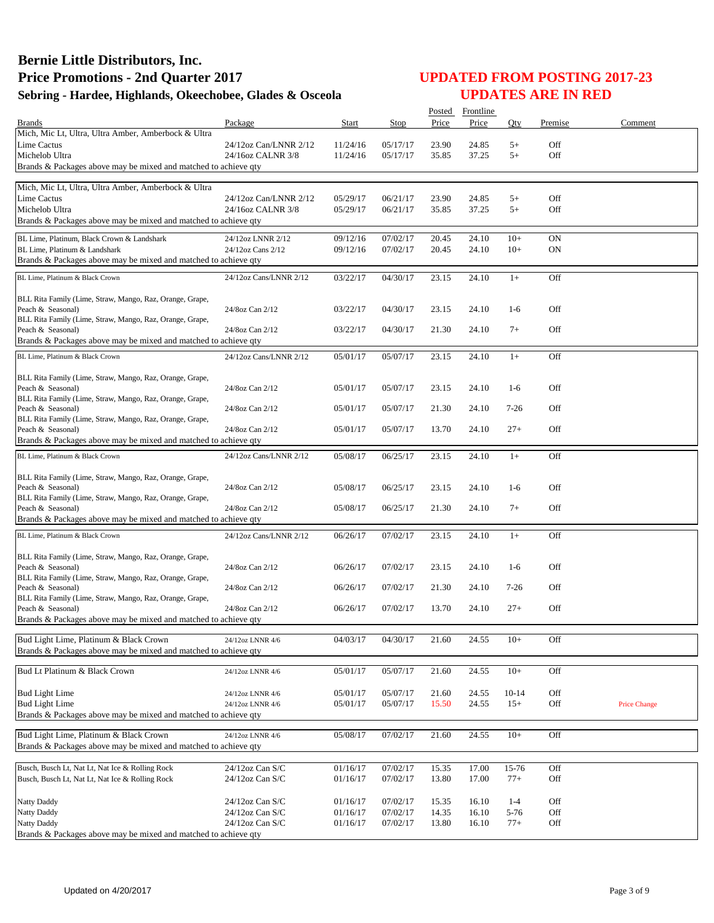|                                                                               |                                        |                      |                      |                | Posted Frontline |                 |                        |                     |
|-------------------------------------------------------------------------------|----------------------------------------|----------------------|----------------------|----------------|------------------|-----------------|------------------------|---------------------|
| <b>Brands</b>                                                                 | Package                                | Start                | Stop                 | Price          | Price            | Oty             | Premise                | Comment             |
| Mich, Mic Lt, Ultra, Ultra Amber, Amberbock & Ultra                           |                                        |                      |                      |                |                  |                 |                        |                     |
| Lime Cactus                                                                   | 24/12oz Can/LNNR 2/12                  | 11/24/16             | 05/17/17             | 23.90          | 24.85            | $5+$            | Off                    |                     |
| Michelob Ultra                                                                | 24/16oz CALNR 3/8                      | 11/24/16             | 05/17/17             | 35.85          | 37.25            | $5+$            | Off                    |                     |
| Brands & Packages above may be mixed and matched to achieve qty               |                                        |                      |                      |                |                  |                 |                        |                     |
| Mich, Mic Lt, Ultra, Ultra Amber, Amberbock & Ultra                           |                                        |                      |                      |                |                  |                 |                        |                     |
| Lime Cactus                                                                   | 24/12oz Can/LNNR 2/12                  | 05/29/17             | 06/21/17             | 23.90          | 24.85            | $5+$            | Off                    |                     |
| Michelob Ultra                                                                | 24/16oz CALNR 3/8                      | 05/29/17             | 06/21/17             | 35.85          | 37.25            | $5+$            | Off                    |                     |
| Brands & Packages above may be mixed and matched to achieve qty               |                                        |                      |                      |                |                  |                 |                        |                     |
| BL Lime, Platinum, Black Crown & Landshark                                    |                                        |                      |                      |                |                  |                 |                        |                     |
| BL Lime, Platinum & Landshark                                                 | 24/12oz LNNR 2/12<br>24/12oz Cans 2/12 | 09/12/16<br>09/12/16 | 07/02/17<br>07/02/17 | 20.45<br>20.45 | 24.10<br>24.10   | $10+$<br>$10+$  | <b>ON</b><br><b>ON</b> |                     |
| Brands & Packages above may be mixed and matched to achieve qty               |                                        |                      |                      |                |                  |                 |                        |                     |
|                                                                               |                                        |                      |                      |                |                  |                 |                        |                     |
| BL Lime, Platinum & Black Crown                                               | 24/12oz Cans/LNNR 2/12                 | 03/22/17             | 04/30/17             | 23.15          | 24.10            | $1+$            | Off                    |                     |
| BLL Rita Family (Lime, Straw, Mango, Raz, Orange, Grape,                      |                                        |                      |                      |                |                  |                 |                        |                     |
| Peach & Seasonal)                                                             | 24/8oz Can 2/12                        | 03/22/17             | 04/30/17             | 23.15          | 24.10            | $1-6$           | Off                    |                     |
| BLL Rita Family (Lime, Straw, Mango, Raz, Orange, Grape,                      |                                        |                      |                      |                |                  |                 |                        |                     |
| Peach & Seasonal)                                                             | 24/8oz Can 2/12                        | 03/22/17             | 04/30/17             | 21.30          | 24.10            | $7+$            | Off                    |                     |
| Brands & Packages above may be mixed and matched to achieve qty               |                                        |                      |                      |                |                  |                 |                        |                     |
| BL Lime, Platinum & Black Crown                                               | 24/12oz Cans/LNNR 2/12                 | 05/01/17             | 05/07/17             | 23.15          | 24.10            | $1+$            | Off                    |                     |
|                                                                               |                                        |                      |                      |                |                  |                 |                        |                     |
| BLL Rita Family (Lime, Straw, Mango, Raz, Orange, Grape,                      |                                        |                      |                      |                |                  |                 |                        |                     |
| Peach & Seasonal)                                                             | 24/8oz Can 2/12                        | 05/01/17             | 05/07/17             | 23.15          | 24.10            | $1-6$           | Off                    |                     |
| BLL Rita Family (Lime, Straw, Mango, Raz, Orange, Grape,                      |                                        |                      |                      |                |                  |                 |                        |                     |
| Peach & Seasonal)<br>BLL Rita Family (Lime, Straw, Mango, Raz, Orange, Grape, | 24/8oz Can 2/12                        | 05/01/17             | 05/07/17             | 21.30          | 24.10            | $7-26$          | Off                    |                     |
| Peach & Seasonal)                                                             | 24/8oz Can 2/12                        | 05/01/17             | 05/07/17             | 13.70          | 24.10            | $27+$           | Off                    |                     |
| Brands & Packages above may be mixed and matched to achieve qty               |                                        |                      |                      |                |                  |                 |                        |                     |
| BL Lime, Platinum & Black Crown                                               | 24/12oz Cans/LNNR 2/12                 | 05/08/17             | 06/25/17             | 23.15          | 24.10            | $1+$            | Off                    |                     |
|                                                                               |                                        |                      |                      |                |                  |                 |                        |                     |
| BLL Rita Family (Lime, Straw, Mango, Raz, Orange, Grape,                      |                                        |                      |                      |                |                  |                 |                        |                     |
| Peach & Seasonal)                                                             | 24/8oz Can 2/12                        | 05/08/17             | 06/25/17             | 23.15          | 24.10            | $1-6$           | Off                    |                     |
| BLL Rita Family (Lime, Straw, Mango, Raz, Orange, Grape,                      |                                        |                      |                      |                |                  |                 |                        |                     |
| Peach & Seasonal)                                                             | 24/8oz Can 2/12                        | 05/08/17             | 06/25/17             | 21.30          | 24.10            | $7+$            | Off                    |                     |
| Brands & Packages above may be mixed and matched to achieve qty               |                                        |                      |                      |                |                  |                 |                        |                     |
| BL Lime, Platinum & Black Crown                                               | 24/12oz Cans/LNNR 2/12                 | 06/26/17             | 07/02/17             | 23.15          | 24.10            | $1+$            | Off                    |                     |
|                                                                               |                                        |                      |                      |                |                  |                 |                        |                     |
| BLL Rita Family (Lime, Straw, Mango, Raz, Orange, Grape,<br>Peach & Seasonal) | 24/8oz Can 2/12                        | 06/26/17             | 07/02/17             | 23.15          | 24.10            | $1-6$           | Off                    |                     |
| BLL Rita Family (Lime, Straw, Mango, Raz, Orange, Grape,                      |                                        |                      |                      |                |                  |                 |                        |                     |
| Peach & Seasonal)                                                             | 24/8oz Can 2/12                        | 06/26/17             | 07/02/17             | 21.30          | 24.10            | $7-26$          | Off                    |                     |
| BLL Rita Family (Lime, Straw, Mango, Raz, Orange, Grape,                      |                                        |                      |                      |                |                  |                 |                        |                     |
| Peach & Seasonal)                                                             | 24/8oz Can 2/12                        | 06/26/17             | 07/02/17             | 13.70          | 24.10            | $27+$           | Off                    |                     |
| Brands & Packages above may be mixed and matched to achieve qty               |                                        |                      |                      |                |                  |                 |                        |                     |
| Bud Light Lime, Platinum & Black Crown                                        | 24/12oz LNNR 4/6                       | 04/03/17             | 04/30/17             | 21.60          | 24.55            | $10+$           | Off                    |                     |
| Brands & Packages above may be mixed and matched to achieve gty               |                                        |                      |                      |                |                  |                 |                        |                     |
|                                                                               |                                        |                      |                      |                |                  |                 |                        |                     |
| Bud Lt Platinum & Black Crown                                                 | 24/12oz LNNR 4/6                       | 05/01/17             | 05/07/17             | 21.60          | 24.55            | $10+$           | Off                    |                     |
|                                                                               |                                        |                      |                      |                |                  |                 |                        |                     |
| <b>Bud Light Lime</b>                                                         | 24/12oz LNNR 4/6                       | 05/01/17             | 05/07/17             | 21.60          | 24.55            | $10-14$         | Off                    |                     |
| <b>Bud Light Lime</b>                                                         | 24/12oz LNNR 4/6                       | 05/01/17             | 05/07/17             | 15.50          | 24.55            | $15+$           | Off                    | <b>Price Change</b> |
| Brands & Packages above may be mixed and matched to achieve qty               |                                        |                      |                      |                |                  |                 |                        |                     |
| Bud Light Lime, Platinum & Black Crown                                        | 24/12oz LNNR 4/6                       | 05/08/17             | 07/02/17             | 21.60          | 24.55            | $10+$           | Off                    |                     |
| Brands & Packages above may be mixed and matched to achieve qty               |                                        |                      |                      |                |                  |                 |                        |                     |
|                                                                               |                                        |                      |                      |                |                  |                 |                        |                     |
| Busch, Busch Lt, Nat Lt, Nat Ice & Rolling Rock                               | $24/12$ oz Can S/C                     | 01/16/17             | 07/02/17             | 15.35          | 17.00            | 15-76           | Off                    |                     |
| Busch, Busch Lt, Nat Lt, Nat Ice & Rolling Rock                               | 24/12oz Can S/C                        | 01/16/17             | 07/02/17             | 13.80          | 17.00            | $77+$           | Off                    |                     |
|                                                                               |                                        |                      |                      |                |                  |                 |                        |                     |
| Natty Daddy<br>Natty Daddy                                                    | 24/12oz Can S/C<br>24/12oz Can S/C     | 01/16/17<br>01/16/17 | 07/02/17<br>07/02/17 | 15.35<br>14.35 | 16.10<br>16.10   | $1 - 4$<br>5-76 | Off<br>Off             |                     |
| <b>Natty Daddy</b>                                                            | 24/12oz Can S/C                        | 01/16/17             | 07/02/17             | 13.80          | 16.10            | $77+$           | Off                    |                     |
| Brands & Packages above may be mixed and matched to achieve qty               |                                        |                      |                      |                |                  |                 |                        |                     |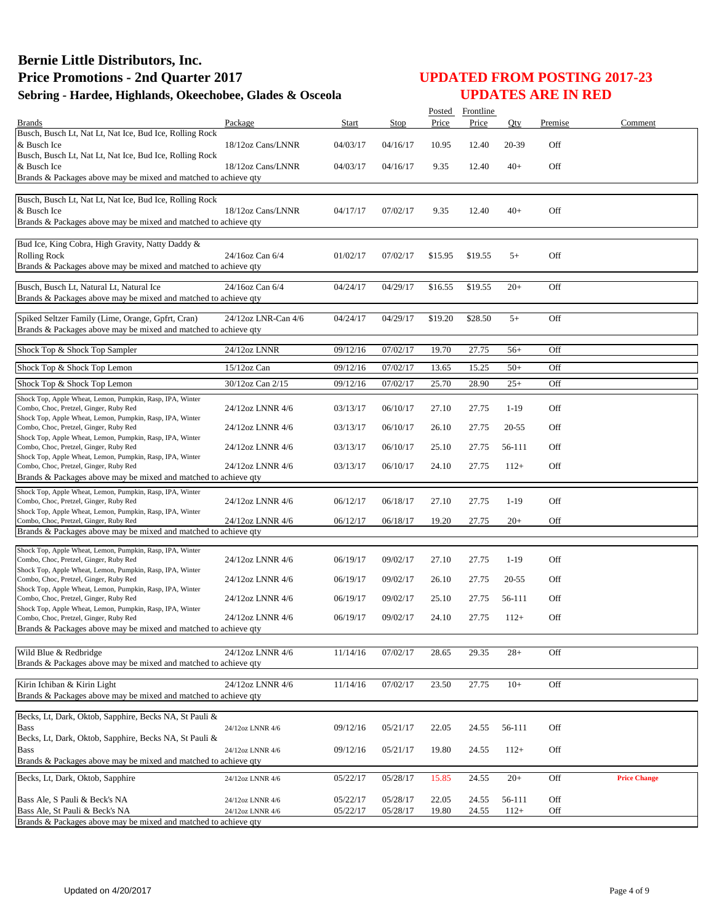|                                                                                                     |                     |          |          | Posted  | Frontline |           |         |                     |
|-----------------------------------------------------------------------------------------------------|---------------------|----------|----------|---------|-----------|-----------|---------|---------------------|
| <b>Brands</b>                                                                                       | Package             | Start    | Stop     | Price   | Price     | Oty       | Premise | Comment             |
| Busch, Busch Lt, Nat Lt, Nat Ice, Bud Ice, Rolling Rock<br>& Busch Ice                              | 18/12oz Cans/LNNR   | 04/03/17 | 04/16/17 | 10.95   | 12.40     | 20-39     | Off     |                     |
| Busch, Busch Lt, Nat Lt, Nat Ice, Bud Ice, Rolling Rock                                             |                     |          |          |         |           |           |         |                     |
| & Busch Ice                                                                                         | 18/12oz Cans/LNNR   | 04/03/17 | 04/16/17 | 9.35    | 12.40     | $40+$     | Off     |                     |
| Brands & Packages above may be mixed and matched to achieve qty                                     |                     |          |          |         |           |           |         |                     |
| Busch, Busch Lt, Nat Lt, Nat Ice, Bud Ice, Rolling Rock                                             |                     |          |          |         |           |           |         |                     |
| & Busch Ice                                                                                         | 18/12oz Cans/LNNR   | 04/17/17 | 07/02/17 | 9.35    | 12.40     | $40+$     | Off     |                     |
| Brands & Packages above may be mixed and matched to achieve qty                                     |                     |          |          |         |           |           |         |                     |
|                                                                                                     |                     |          |          |         |           |           |         |                     |
| Bud Ice, King Cobra, High Gravity, Natty Daddy &<br><b>Rolling Rock</b>                             | 24/16oz Can 6/4     | 01/02/17 | 07/02/17 | \$15.95 | \$19.55   | $5+$      | Off     |                     |
| Brands & Packages above may be mixed and matched to achieve qty                                     |                     |          |          |         |           |           |         |                     |
|                                                                                                     |                     |          |          |         |           |           |         |                     |
| Busch, Busch Lt, Natural Lt, Natural Ice                                                            | 24/16oz Can 6/4     | 04/24/17 | 04/29/17 | \$16.55 | \$19.55   | $20+$     | Off     |                     |
| Brands & Packages above may be mixed and matched to achieve qty                                     |                     |          |          |         |           |           |         |                     |
| Spiked Seltzer Family (Lime, Orange, Gpfrt, Cran)                                                   | 24/12oz LNR-Can 4/6 | 04/24/17 | 04/29/17 | \$19.20 | \$28.50   | $5+$      | Off     |                     |
| Brands & Packages above may be mixed and matched to achieve qty                                     |                     |          |          |         |           |           |         |                     |
|                                                                                                     |                     |          |          |         |           |           |         |                     |
| Shock Top & Shock Top Sampler                                                                       | 24/12oz LNNR        | 09/12/16 | 07/02/17 | 19.70   | 27.75     | $56+$     | Off     |                     |
| Shock Top & Shock Top Lemon                                                                         | 15/12oz Can         | 09/12/16 | 07/02/17 | 13.65   | 15.25     | $50+$     | Off     |                     |
| Shock Top & Shock Top Lemon                                                                         | 30/12oz Can 2/15    | 09/12/16 | 07/02/17 | 25.70   | 28.90     | $25+$     | Off     |                     |
| Shock Top, Apple Wheat, Lemon, Pumpkin, Rasp, IPA, Winter                                           |                     |          |          |         |           |           |         |                     |
| Combo, Choc, Pretzel, Ginger, Ruby Red                                                              | 24/12oz LNNR 4/6    | 03/13/17 | 06/10/17 | 27.10   | 27.75     | $1-19$    | Off     |                     |
| Shock Top, Apple Wheat, Lemon, Pumpkin, Rasp, IPA, Winter<br>Combo, Choc, Pretzel, Ginger, Ruby Red | 24/12oz LNNR 4/6    | 03/13/17 | 06/10/17 | 26.10   | 27.75     | 20-55     | Off     |                     |
| Shock Top, Apple Wheat, Lemon, Pumpkin, Rasp, IPA, Winter                                           |                     |          |          |         |           |           |         |                     |
| Combo, Choc, Pretzel, Ginger, Ruby Red                                                              | 24/12oz LNNR 4/6    | 03/13/17 | 06/10/17 | 25.10   | 27.75     | 56-111    | Off     |                     |
| Shock Top, Apple Wheat, Lemon, Pumpkin, Rasp, IPA, Winter<br>Combo, Choc, Pretzel, Ginger, Ruby Red | 24/12oz LNNR 4/6    | 03/13/17 | 06/10/17 | 24.10   | 27.75     | $112+$    | Off     |                     |
| Brands & Packages above may be mixed and matched to achieve qty                                     |                     |          |          |         |           |           |         |                     |
| Shock Top, Apple Wheat, Lemon, Pumpkin, Rasp, IPA, Winter                                           |                     |          |          |         |           |           |         |                     |
| Combo, Choc, Pretzel, Ginger, Ruby Red                                                              | 24/12oz LNNR 4/6    | 06/12/17 | 06/18/17 | 27.10   | 27.75     | $1-19$    | Off     |                     |
| Shock Top, Apple Wheat, Lemon, Pumpkin, Rasp, IPA, Winter<br>Combo, Choc, Pretzel, Ginger, Ruby Red | 24/12oz LNNR 4/6    | 06/12/17 | 06/18/17 | 19.20   | 27.75     | $20+$     | Off     |                     |
| Brands & Packages above may be mixed and matched to achieve qty                                     |                     |          |          |         |           |           |         |                     |
|                                                                                                     |                     |          |          |         |           |           |         |                     |
| Shock Top, Apple Wheat, Lemon, Pumpkin, Rasp, IPA, Winter<br>Combo, Choc, Pretzel, Ginger, Ruby Red | 24/12oz LNNR 4/6    | 06/19/17 | 09/02/17 | 27.10   | 27.75     | $1-19$    | Off     |                     |
| Shock Top, Apple Wheat, Lemon, Pumpkin, Rasp, IPA, Winter                                           |                     |          |          |         |           |           |         |                     |
| Combo, Choc, Pretzel, Ginger, Ruby Red                                                              | 24/12oz LNNR 4/6    | 06/19/17 | 09/02/17 | 26.10   | 27.75     | $20 - 55$ | Off     |                     |
| Shock Top, Apple Wheat, Lemon, Pumpkin, Rasp, IPA, Winter<br>Combo, Choc, Pretzel, Ginger, Ruby Red | 24/12oz LNNR 4/6    | 06/19/17 | 09/02/17 | 25.10   | 27.75     | 56-111    | Off     |                     |
| Shock Top, Apple Wheat, Lemon, Pumpkin, Rasp, IPA, Winter                                           |                     |          |          |         |           |           |         |                     |
| Combo, Choc, Pretzel, Ginger, Ruby Red                                                              | 24/12oz LNNR 4/6    | 06/19/17 | 09/02/17 | 24.10   | 27.75     | $112+$    | Off     |                     |
| Brands & Packages above may be mixed and matched to achieve qty                                     |                     |          |          |         |           |           |         |                     |
| Wild Blue & Redbridge                                                                               | 24/12oz LNNR 4/6    | 11/14/16 | 07/02/17 | 28.65   | 29.35     | $28+$     | Off     |                     |
| Brands & Packages above may be mixed and matched to achieve qty                                     |                     |          |          |         |           |           |         |                     |
|                                                                                                     |                     |          |          |         |           |           |         |                     |
| Kirin Ichiban & Kirin Light                                                                         | 24/12oz LNNR 4/6    | 11/14/16 | 07/02/17 | 23.50   | 27.75     | $10+$     | Off     |                     |
| Brands & Packages above may be mixed and matched to achieve gty                                     |                     |          |          |         |           |           |         |                     |
| Becks, Lt, Dark, Oktob, Sapphire, Becks NA, St Pauli &                                              |                     |          |          |         |           |           |         |                     |
| <b>Bass</b>                                                                                         | 24/12oz LNNR 4/6    | 09/12/16 | 05/21/17 | 22.05   | 24.55     | 56-111    | Off     |                     |
| Becks, Lt, Dark, Oktob, Sapphire, Becks NA, St Pauli &                                              |                     |          |          |         |           |           |         |                     |
| <b>Bass</b><br>Brands & Packages above may be mixed and matched to achieve qty                      | 24/12oz LNNR 4/6    | 09/12/16 | 05/21/17 | 19.80   | 24.55     | $112+$    | Off     |                     |
|                                                                                                     |                     |          |          |         |           |           |         |                     |
| Becks, Lt, Dark, Oktob, Sapphire                                                                    | 24/12oz LNNR 4/6    | 05/22/17 | 05/28/17 | 15.85   | 24.55     | $20+$     | Off     | <b>Price Change</b> |
| Bass Ale, S Pauli & Beck's NA                                                                       | 24/12oz LNNR 4/6    | 05/22/17 | 05/28/17 | 22.05   | 24.55     | 56-111    | Off     |                     |
| Bass Ale, St Pauli & Beck's NA                                                                      | 24/12oz LNNR 4/6    | 05/22/17 | 05/28/17 | 19.80   | 24.55     | $112+$    | Off     |                     |
| Brands & Packages above may be mixed and matched to achieve qty                                     |                     |          |          |         |           |           |         |                     |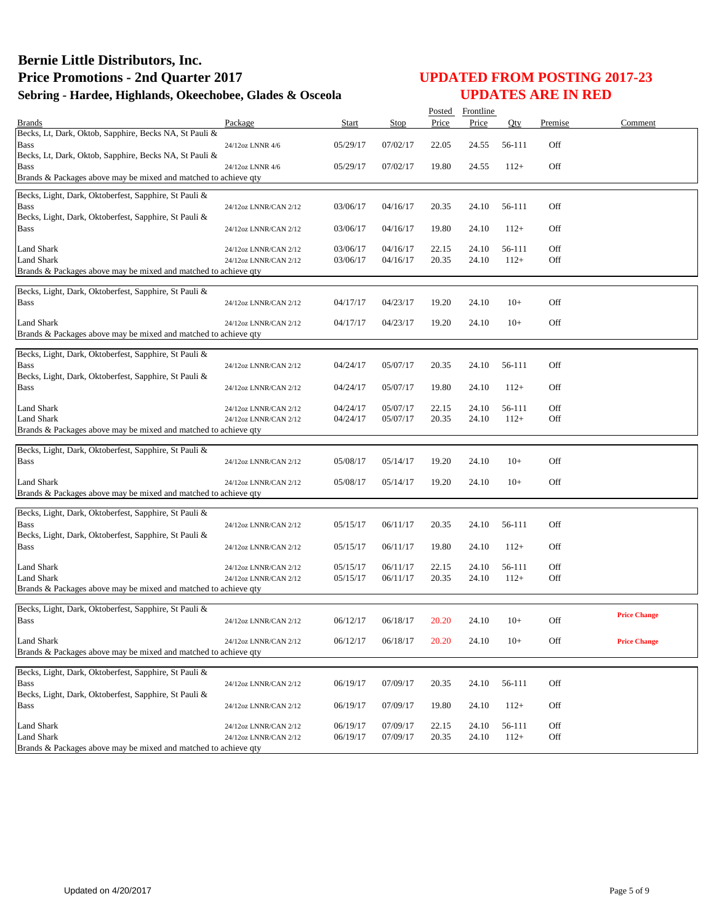|                                                                                      |                       |          |                      | Posted         | Frontline      |        |            |                     |
|--------------------------------------------------------------------------------------|-----------------------|----------|----------------------|----------------|----------------|--------|------------|---------------------|
| <b>Brands</b>                                                                        | Package               | Start    | <b>Stop</b>          | Price          | Price          | Oty    | Premise    | Comment             |
| Becks, Lt, Dark, Oktob, Sapphire, Becks NA, St Pauli &                               |                       |          |                      |                |                |        |            |                     |
| <b>Bass</b>                                                                          | 24/12oz LNNR 4/6      | 05/29/17 | 07/02/17             | 22.05          | 24.55          | 56-111 | Off        |                     |
| Becks, Lt, Dark, Oktob, Sapphire, Becks NA, St Pauli &<br><b>Bass</b>                | 24/12oz LNNR 4/6      | 05/29/17 | 07/02/17             | 19.80          | 24.55          | $112+$ | Off        |                     |
| Brands & Packages above may be mixed and matched to achieve qty                      |                       |          |                      |                |                |        |            |                     |
|                                                                                      |                       |          |                      |                |                |        |            |                     |
| Becks, Light, Dark, Oktoberfest, Sapphire, St Pauli &                                |                       |          |                      |                |                |        |            |                     |
| <b>Bass</b><br>Becks, Light, Dark, Oktoberfest, Sapphire, St Pauli &                 | 24/12oz LNNR/CAN 2/12 | 03/06/17 | 04/16/17             | 20.35          | 24.10          | 56-111 | Off        |                     |
| <b>Bass</b>                                                                          | 24/12oz LNNR/CAN 2/12 | 03/06/17 | 04/16/17             | 19.80          | 24.10          | $112+$ | Off        |                     |
|                                                                                      |                       |          |                      |                |                |        |            |                     |
| <b>Land Shark</b>                                                                    | 24/12oz LNNR/CAN 2/12 | 03/06/17 | 04/16/17             | 22.15          | 24.10          | 56-111 | Off        |                     |
| <b>Land Shark</b>                                                                    | 24/12oz LNNR/CAN 2/12 | 03/06/17 | 04/16/17             | 20.35          | 24.10          | $112+$ | Off        |                     |
| Brands & Packages above may be mixed and matched to achieve qty                      |                       |          |                      |                |                |        |            |                     |
| Becks, Light, Dark, Oktoberfest, Sapphire, St Pauli &                                |                       |          |                      |                |                |        |            |                     |
| <b>Bass</b>                                                                          | 24/12oz LNNR/CAN 2/12 | 04/17/17 | 04/23/17             | 19.20          | 24.10          | $10+$  | Off        |                     |
|                                                                                      |                       |          |                      |                |                |        |            |                     |
| <b>Land Shark</b>                                                                    | 24/12oz LNNR/CAN 2/12 | 04/17/17 | 04/23/17             | 19.20          | 24.10          | $10+$  | Off        |                     |
| Brands & Packages above may be mixed and matched to achieve qty                      |                       |          |                      |                |                |        |            |                     |
| Becks, Light, Dark, Oktoberfest, Sapphire, St Pauli &                                |                       |          |                      |                |                |        |            |                     |
| <b>Bass</b>                                                                          | 24/12oz LNNR/CAN 2/12 | 04/24/17 | 05/07/17             | 20.35          | 24.10          | 56-111 | Off        |                     |
| Becks, Light, Dark, Oktoberfest, Sapphire, St Pauli &                                |                       |          |                      |                |                |        |            |                     |
| <b>Bass</b>                                                                          | 24/12oz LNNR/CAN 2/12 | 04/24/17 | 05/07/17             | 19.80          | 24.10          | $112+$ | Off        |                     |
|                                                                                      |                       |          |                      |                |                |        |            |                     |
| <b>Land Shark</b>                                                                    | 24/12oz LNNR/CAN 2/12 | 04/24/17 | 05/07/17             | 22.15          | 24.10          | 56-111 | Off        |                     |
| <b>Land Shark</b>                                                                    | 24/12oz LNNR/CAN 2/12 | 04/24/17 | 05/07/17             | 20.35          | 24.10          | $112+$ | Off        |                     |
| Brands & Packages above may be mixed and matched to achieve qty                      |                       |          |                      |                |                |        |            |                     |
| Becks, Light, Dark, Oktoberfest, Sapphire, St Pauli &                                |                       |          |                      |                |                |        |            |                     |
| <b>Bass</b>                                                                          | 24/12oz LNNR/CAN 2/12 | 05/08/17 | 05/14/17             | 19.20          | 24.10          | $10+$  | Off        |                     |
|                                                                                      |                       |          |                      |                |                |        |            |                     |
| <b>Land Shark</b>                                                                    | 24/12oz LNNR/CAN 2/12 | 05/08/17 | 05/14/17             | 19.20          | 24.10          | $10+$  | Off        |                     |
| Brands & Packages above may be mixed and matched to achieve qty                      |                       |          |                      |                |                |        |            |                     |
| Becks, Light, Dark, Oktoberfest, Sapphire, St Pauli &                                |                       |          |                      |                |                |        |            |                     |
| <b>Bass</b>                                                                          | 24/12oz LNNR/CAN 2/12 | 05/15/17 | 06/11/17             | 20.35          | 24.10          | 56-111 | Off        |                     |
| Becks, Light, Dark, Oktoberfest, Sapphire, St Pauli &                                |                       |          |                      |                |                |        |            |                     |
| <b>Bass</b>                                                                          | 24/12oz LNNR/CAN 2/12 | 05/15/17 | 06/11/17             | 19.80          | 24.10          | $112+$ | Off        |                     |
|                                                                                      |                       |          |                      |                |                |        |            |                     |
| <b>Land Shark</b><br><b>Land Shark</b>                                               | 24/12oz LNNR/CAN 2/12 | 05/15/17 | 06/11/17<br>06/11/17 | 22.15<br>20.35 | 24.10<br>24.10 | 56-111 | Off<br>Off |                     |
| Brands & Packages above may be mixed and matched to achieve qty                      | 24/12oz LNNR/CAN 2/12 | 05/15/17 |                      |                |                | $112+$ |            |                     |
|                                                                                      |                       |          |                      |                |                |        |            |                     |
| Becks, Light, Dark, Oktoberfest, Sapphire, St Pauli &                                |                       |          |                      |                |                |        |            |                     |
| <b>Bass</b>                                                                          | 24/12oz LNNR/CAN 2/12 | 06/12/17 | 06/18/17             | 20.20          | 24.10          | $10+$  | Off        | <b>Price Change</b> |
|                                                                                      |                       |          |                      |                |                |        |            |                     |
| <b>Land Shark</b><br>Brands & Packages above may be mixed and matched to achieve gty | 24/12oz LNNR/CAN 2/12 | 06/12/17 | 06/18/17             | 20.20          | 24.10          | $10+$  | Off        | <b>Price Change</b> |
|                                                                                      |                       |          |                      |                |                |        |            |                     |
| Becks, Light, Dark, Oktoberfest, Sapphire, St Pauli &                                |                       |          |                      |                |                |        |            |                     |
| <b>Bass</b>                                                                          | 24/12oz LNNR/CAN 2/12 | 06/19/17 | 07/09/17             | 20.35          | 24.10          | 56-111 | Off        |                     |
| Becks, Light, Dark, Oktoberfest, Sapphire, St Pauli &                                |                       |          |                      |                |                |        |            |                     |
| <b>Bass</b>                                                                          | 24/12oz LNNR/CAN 2/12 | 06/19/17 | 07/09/17             | 19.80          | 24.10          | $112+$ | Off        |                     |
| Land Shark                                                                           | 24/12oz LNNR/CAN 2/12 | 06/19/17 | 07/09/17             | 22.15          | 24.10          | 56-111 | Off        |                     |
| <b>Land Shark</b>                                                                    | 24/12oz LNNR/CAN 2/12 | 06/19/17 | 07/09/17             | 20.35          | 24.10          | $112+$ | Off        |                     |
| Brands & Packages above may be mixed and matched to achieve qty                      |                       |          |                      |                |                |        |            |                     |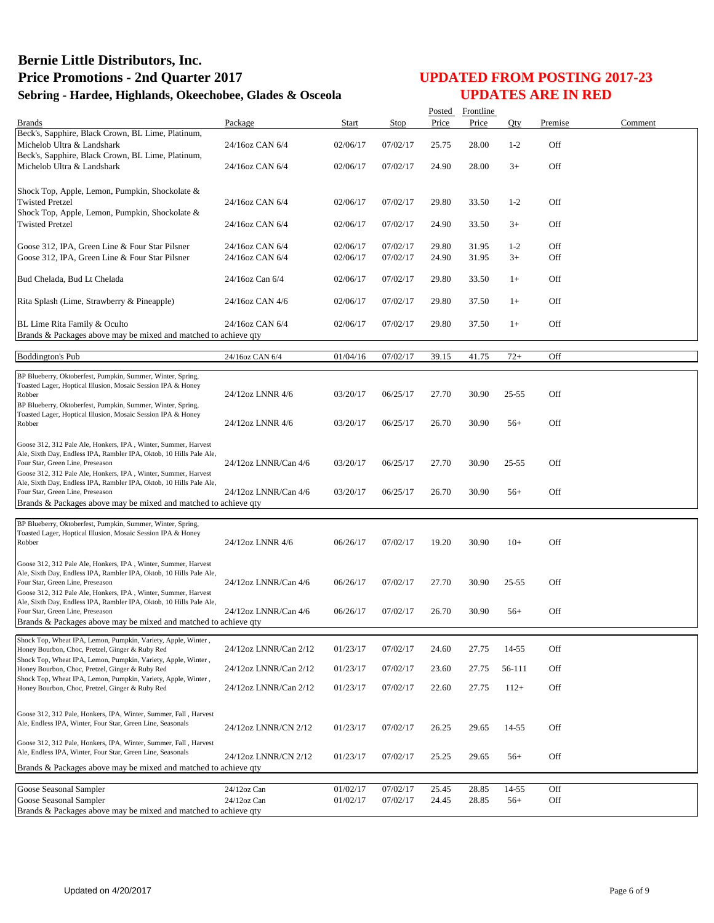|                                                                                                                                       |                       |          |          |       | Posted Frontline |           |         |         |
|---------------------------------------------------------------------------------------------------------------------------------------|-----------------------|----------|----------|-------|------------------|-----------|---------|---------|
| <b>Brands</b><br>Beck's, Sapphire, Black Crown, BL Lime, Platinum,                                                                    | Package               | Start    | Stop     | Price | Price            | Qty       | Premise | Comment |
| Michelob Ultra & Landshark                                                                                                            | 24/16oz CAN 6/4       | 02/06/17 | 07/02/17 | 25.75 | 28.00            | $1 - 2$   | Off     |         |
| Beck's, Sapphire, Black Crown, BL Lime, Platinum,<br>Michelob Ultra & Landshark                                                       | 24/16oz CAN 6/4       | 02/06/17 | 07/02/17 | 24.90 | 28.00            | $3+$      | Off     |         |
| Shock Top, Apple, Lemon, Pumpkin, Shockolate &                                                                                        |                       |          |          |       |                  |           |         |         |
| <b>Twisted Pretzel</b><br>Shock Top, Apple, Lemon, Pumpkin, Shockolate &                                                              | 24/16oz CAN 6/4       | 02/06/17 | 07/02/17 | 29.80 | 33.50            | $1 - 2$   | Off     |         |
| <b>Twisted Pretzel</b>                                                                                                                | 24/16oz CAN 6/4       | 02/06/17 | 07/02/17 | 24.90 | 33.50            | $3+$      | Off     |         |
| Goose 312, IPA, Green Line & Four Star Pilsner                                                                                        | 24/16oz CAN 6/4       | 02/06/17 | 07/02/17 | 29.80 | 31.95            | $1 - 2$   | Off     |         |
| Goose 312, IPA, Green Line & Four Star Pilsner                                                                                        | 24/16oz CAN 6/4       | 02/06/17 | 07/02/17 | 24.90 | 31.95            | $3+$      | Off     |         |
| Bud Chelada, Bud Lt Chelada                                                                                                           | 24/16oz Can 6/4       | 02/06/17 | 07/02/17 | 29.80 | 33.50            | $1+$      | Off     |         |
| Rita Splash (Lime, Strawberry & Pineapple)                                                                                            | 24/16oz CAN 4/6       | 02/06/17 | 07/02/17 | 29.80 | 37.50            | $1+$      | Off     |         |
| BL Lime Rita Family & Oculto<br>Brands & Packages above may be mixed and matched to achieve qty                                       | 24/16oz CAN 6/4       | 02/06/17 | 07/02/17 | 29.80 | 37.50            | $1+$      | Off     |         |
|                                                                                                                                       |                       |          |          |       |                  |           |         |         |
| <b>Boddington's Pub</b>                                                                                                               | 24/16oz CAN 6/4       | 01/04/16 | 07/02/17 | 39.15 | 41.75            | $72+$     | Off     |         |
| BP Blueberry, Oktoberfest, Pumpkin, Summer, Winter, Spring,<br>Toasted Lager, Hoptical Illusion, Mosaic Session IPA & Honey           |                       |          |          |       |                  |           |         |         |
| Robber                                                                                                                                | 24/12oz LNNR 4/6      | 03/20/17 | 06/25/17 | 27.70 | 30.90            | 25-55     | Off     |         |
| BP Blueberry, Oktoberfest, Pumpkin, Summer, Winter, Spring,<br>Toasted Lager, Hoptical Illusion, Mosaic Session IPA & Honey           |                       |          |          |       |                  |           |         |         |
| Robber                                                                                                                                | 24/12oz LNNR 4/6      | 03/20/17 | 06/25/17 | 26.70 | 30.90            | $56+$     | Off     |         |
| Goose 312, 312 Pale Ale, Honkers, IPA, Winter, Summer, Harvest<br>Ale, Sixth Day, Endless IPA, Rambler IPA, Oktob, 10 Hills Pale Ale, |                       |          |          |       |                  |           |         |         |
| Four Star, Green Line, Preseason<br>Goose 312, 312 Pale Ale, Honkers, IPA, Winter, Summer, Harvest                                    | 24/12oz LNNR/Can 4/6  | 03/20/17 | 06/25/17 | 27.70 | 30.90            | $25 - 55$ | Off     |         |
| Ale, Sixth Day, Endless IPA, Rambler IPA, Oktob, 10 Hills Pale Ale,<br>Four Star, Green Line, Preseason                               | 24/12oz LNNR/Can 4/6  | 03/20/17 | 06/25/17 | 26.70 | 30.90            | $56+$     | Off     |         |
| Brands & Packages above may be mixed and matched to achieve qty                                                                       |                       |          |          |       |                  |           |         |         |
| BP Blueberry, Oktoberfest, Pumpkin, Summer, Winter, Spring,                                                                           |                       |          |          |       |                  |           |         |         |
| Toasted Lager, Hoptical Illusion, Mosaic Session IPA & Honey<br>Robber                                                                | 24/12oz LNNR 4/6      | 06/26/17 | 07/02/17 | 19.20 | 30.90            | $10+$     | Off     |         |
| Goose 312, 312 Pale Ale, Honkers, IPA, Winter, Summer, Harvest                                                                        |                       |          |          |       |                  |           |         |         |
| Ale, Sixth Day, Endless IPA, Rambler IPA, Oktob, 10 Hills Pale Ale,<br>Four Star, Green Line, Preseason                               | 24/12oz LNNR/Can 4/6  | 06/26/17 | 07/02/17 | 27.70 | 30.90            | $25 - 55$ | Off     |         |
| Goose 312, 312 Pale Ale, Honkers, IPA, Winter, Summer, Harvest                                                                        |                       |          |          |       |                  |           |         |         |
| Ale, Sixth Day, Endless IPA, Rambler IPA, Oktob, 10 Hills Pale Ale,<br>Four Star, Green Line, Preseason                               | 24/12oz LNNR/Can 4/6  | 06/26/17 | 07/02/17 | 26.70 | 30.90            | $56+$     | Off     |         |
| Brands & Packages above may be mixed and matched to achieve qty                                                                       |                       |          |          |       |                  |           |         |         |
| Shock Top, Wheat IPA, Lemon, Pumpkin, Variety, Apple, Winter,<br>Honey Bourbon, Choc, Pretzel, Ginger & Ruby Red                      | 24/12oz LNNR/Can 2/12 | 01/23/17 | 07/02/17 | 24.60 | 27.75            | 14-55     | Off     |         |
| Shock Top, Wheat IPA, Lemon, Pumpkin, Variety, Apple, Winter,<br>Honey Bourbon, Choc, Pretzel, Ginger & Ruby Red                      | 24/12oz LNNR/Can 2/12 | 01/23/17 | 07/02/17 | 23.60 | 27.75            | 56-111    | Off     |         |
| Shock Top, Wheat IPA, Lemon, Pumpkin, Variety, Apple, Winter,<br>Honey Bourbon, Choc, Pretzel, Ginger & Ruby Red                      | 24/12oz LNNR/Can 2/12 | 01/23/17 | 07/02/17 | 22.60 | 27.75            | $112+$    | Off     |         |
|                                                                                                                                       |                       |          |          |       |                  |           |         |         |
| Goose 312, 312 Pale, Honkers, IPA, Winter, Summer, Fall, Harvest<br>Ale, Endless IPA, Winter, Four Star, Green Line, Seasonals        |                       |          |          |       |                  |           |         |         |
|                                                                                                                                       | 24/12oz LNNR/CN 2/12  | 01/23/17 | 07/02/17 | 26.25 | 29.65            | 14-55     | Off     |         |
| Goose 312, 312 Pale, Honkers, IPA, Winter, Summer, Fall, Harvest<br>Ale, Endless IPA, Winter, Four Star, Green Line, Seasonals        | 24/12oz LNNR/CN 2/12  | 01/23/17 | 07/02/17 | 25.25 | 29.65            | $56+$     | Off     |         |
| Brands & Packages above may be mixed and matched to achieve qty                                                                       |                       |          |          |       |                  |           |         |         |
| Goose Seasonal Sampler                                                                                                                | 24/12oz Can           | 01/02/17 | 07/02/17 | 25.45 | 28.85            | 14-55     | Off     |         |
| Goose Seasonal Sampler                                                                                                                | 24/12oz Can           | 01/02/17 | 07/02/17 | 24.45 | 28.85            | $56+$     | Off     |         |
| Brands & Packages above may be mixed and matched to achieve qty                                                                       |                       |          |          |       |                  |           |         |         |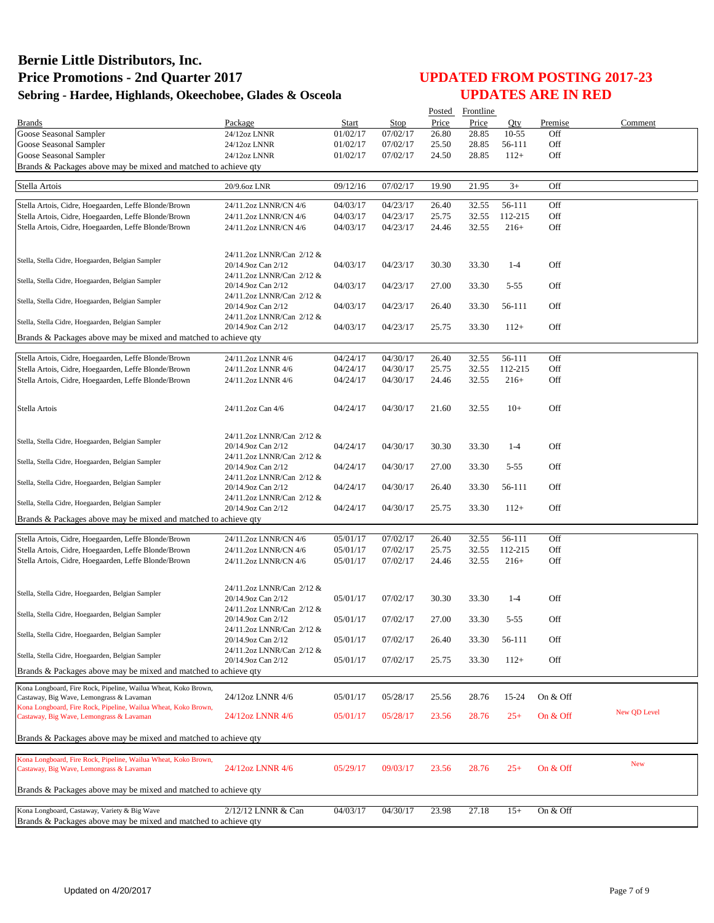|                                                                 |                                                 |          |          | Posted | Frontline |           |            |              |
|-----------------------------------------------------------------|-------------------------------------------------|----------|----------|--------|-----------|-----------|------------|--------------|
| <b>Brands</b>                                                   | Package                                         | Start    | Stop     | Price  | Price     | Oty       | Premise    | Comment      |
| Goose Seasonal Sampler                                          | 24/12oz LNNR                                    | 01/02/17 | 07/02/17 | 26.80  | 28.85     | $10 - 55$ | Off        |              |
| Goose Seasonal Sampler                                          | 24/12oz LNNR                                    | 01/02/17 | 07/02/17 | 25.50  | 28.85     | 56-111    | Off        |              |
| Goose Seasonal Sampler                                          | 24/12oz LNNR                                    | 01/02/17 | 07/02/17 | 24.50  | 28.85     | $112+$    | Off        |              |
| Brands & Packages above may be mixed and matched to achieve qty |                                                 |          |          |        |           |           |            |              |
|                                                                 |                                                 |          |          |        |           |           |            |              |
| Stella Artois                                                   | 20/9.6oz LNR                                    | 09/12/16 | 07/02/17 | 19.90  | 21.95     | $3+$      | Off        |              |
| Stella Artois, Cidre, Hoegaarden, Leffe Blonde/Brown            | 24/11.2oz LNNR/CN 4/6                           | 04/03/17 | 04/23/17 | 26.40  | 32.55     | 56-111    | Off        |              |
| Stella Artois, Cidre, Hoegaarden, Leffe Blonde/Brown            | 24/11.2oz LNNR/CN 4/6                           | 04/03/17 | 04/23/17 | 25.75  | 32.55     | 112-215   | Off        |              |
| Stella Artois, Cidre, Hoegaarden, Leffe Blonde/Brown            | 24/11.2oz LNNR/CN 4/6                           | 04/03/17 | 04/23/17 | 24.46  | 32.55     | $216+$    | Off        |              |
|                                                                 |                                                 |          |          |        |           |           |            |              |
|                                                                 |                                                 |          |          |        |           |           |            |              |
| Stella, Stella Cidre, Hoegaarden, Belgian Sampler               | 24/11.2oz LNNR/Can 2/12 &                       |          |          |        |           |           |            |              |
|                                                                 | 20/14.9oz Can 2/12                              | 04/03/17 | 04/23/17 | 30.30  | 33.30     | $1 - 4$   | Off        |              |
| Stella, Stella Cidre, Hoegaarden, Belgian Sampler               | 24/11.2oz LNNR/Can 2/12 &                       |          |          |        |           |           |            |              |
|                                                                 | 20/14.9oz Can 2/12                              | 04/03/17 | 04/23/17 | 27.00  | 33.30     | $5 - 55$  | Off        |              |
| Stella, Stella Cidre, Hoegaarden, Belgian Sampler               | 24/11.2oz LNNR/Can 2/12 &                       |          |          |        |           |           |            |              |
|                                                                 | 20/14.9oz Can 2/12<br>24/11.2oz LNNR/Can 2/12 & | 04/03/17 | 04/23/17 | 26.40  | 33.30     | 56-111    | Off        |              |
| Stella, Stella Cidre, Hoegaarden, Belgian Sampler               | 20/14.9oz Can 2/12                              | 04/03/17 | 04/23/17 | 25.75  | 33.30     | $112+$    | Off        |              |
| Brands & Packages above may be mixed and matched to achieve qty |                                                 |          |          |        |           |           |            |              |
|                                                                 |                                                 |          |          |        |           |           |            |              |
| Stella Artois, Cidre, Hoegaarden, Leffe Blonde/Brown            | 24/11.2oz LNNR 4/6                              | 04/24/17 | 04/30/17 | 26.40  | 32.55     | 56-111    | Off        |              |
| Stella Artois, Cidre, Hoegaarden, Leffe Blonde/Brown            | 24/11.2oz LNNR 4/6                              | 04/24/17 | 04/30/17 | 25.75  | 32.55     | 112-215   | Off        |              |
| Stella Artois, Cidre, Hoegaarden, Leffe Blonde/Brown            | 24/11.2oz LNNR 4/6                              | 04/24/17 | 04/30/17 | 24.46  | 32.55     | $216+$    | Off        |              |
|                                                                 |                                                 |          |          |        |           |           |            |              |
|                                                                 |                                                 |          |          |        |           |           |            |              |
| Stella Artois                                                   | 24/11.2oz Can 4/6                               | 04/24/17 | 04/30/17 | 21.60  | 32.55     | $10+$     | Off        |              |
|                                                                 |                                                 |          |          |        |           |           |            |              |
|                                                                 | 24/11.2oz LNNR/Can 2/12 &                       |          |          |        |           |           |            |              |
| Stella, Stella Cidre, Hoegaarden, Belgian Sampler               | 20/14.9oz Can 2/12                              | 04/24/17 | 04/30/17 | 30.30  | 33.30     | $1 - 4$   | Off        |              |
|                                                                 | 24/11.2oz LNNR/Can 2/12 &                       |          |          |        |           |           |            |              |
| Stella, Stella Cidre, Hoegaarden, Belgian Sampler               | 20/14.9oz Can 2/12                              | 04/24/17 | 04/30/17 | 27.00  | 33.30     | $5 - 55$  | Off        |              |
|                                                                 | 24/11.2oz LNNR/Can 2/12 &                       |          |          |        |           |           |            |              |
| Stella, Stella Cidre, Hoegaarden, Belgian Sampler               | 20/14.9oz Can 2/12                              | 04/24/17 | 04/30/17 | 26.40  | 33.30     | 56-111    | Off        |              |
| Stella, Stella Cidre, Hoegaarden, Belgian Sampler               | 24/11.2oz LNNR/Can 2/12 &                       |          |          |        |           |           |            |              |
|                                                                 | 20/14.9oz Can 2/12                              | 04/24/17 | 04/30/17 | 25.75  | 33.30     | $112+$    | Off        |              |
| Brands & Packages above may be mixed and matched to achieve qty |                                                 |          |          |        |           |           |            |              |
|                                                                 |                                                 |          |          |        |           |           |            |              |
| Stella Artois, Cidre, Hoegaarden, Leffe Blonde/Brown            | 24/11.2oz LNNR/CN 4/6                           | 05/01/17 | 07/02/17 | 26.40  | 32.55     | 56-111    | Off        |              |
| Stella Artois, Cidre, Hoegaarden, Leffe Blonde/Brown            | 24/11.2oz LNNR/CN 4/6                           | 05/01/17 | 07/02/17 | 25.75  | 32.55     | 112-215   | Off        |              |
| Stella Artois, Cidre, Hoegaarden, Leffe Blonde/Brown            | 24/11.2oz LNNR/CN 4/6                           | 05/01/17 | 07/02/17 | 24.46  | 32.55     | $216+$    | Off        |              |
|                                                                 |                                                 |          |          |        |           |           |            |              |
|                                                                 | 24/11.2oz LNNR/Can 2/12 &                       |          |          |        |           |           |            |              |
| Stella, Stella Cidre, Hoegaarden, Belgian Sampler               | 20/14.9oz Can 2/12                              | 05/01/17 | 07/02/17 | 30.30  | 33.30     | $1 - 4$   | Off        |              |
| Stella, Stella Cidre, Hoegaarden, Belgian Sampler               | 24/11.2oz LNNR/Can 2/12 &                       |          |          |        |           |           |            |              |
|                                                                 | 20/14.9oz Can 2/12                              | 05/01/17 | 07/02/17 | 27.00  | 33.30     | $5 - 55$  | Off        |              |
| Stella, Stella Cidre, Hoegaarden, Belgian Sampler               | 24/11.2oz LNNR/Can 2/12 &                       |          |          |        |           |           |            |              |
|                                                                 | 20/14.9oz Can 2/12                              | 05/01/17 | 07/02/17 | 26.40  | 33.30     | 56-111    | Off        |              |
| Stella, Stella Cidre, Hoegaarden, Belgian Sampler               | 24/11.2oz LNNR/Can 2/12 &                       |          |          |        |           |           |            |              |
|                                                                 | 20/14.9oz Can 2/12                              | 05/01/17 | 07/02/17 | 25.75  | 33.30     | $112+$    | Off        |              |
| Brands & Packages above may be mixed and matched to achieve qty |                                                 |          |          |        |           |           |            |              |
| Kona Longboard, Fire Rock, Pipeline, Wailua Wheat, Koko Brown,  |                                                 |          |          |        |           |           |            |              |
| Castaway, Big Wave, Lemongrass & Lavaman                        | 24/12oz LNNR 4/6                                | 05/01/17 | 05/28/17 | 25.56  | 28.76     | 15-24     | On & Off   |              |
| Kona Longboard, Fire Rock, Pipeline, Wailua Wheat, Koko Brown,  |                                                 |          |          |        |           |           |            | New QD Level |
| Castaway, Big Wave, Lemongrass & Lavaman                        | 24/12oz LNNR 4/6                                | 05/01/17 | 05/28/17 | 23.56  | 28.76     | $25+$     | On $&$ Off |              |
|                                                                 |                                                 |          |          |        |           |           |            |              |
| Brands & Packages above may be mixed and matched to achieve qty |                                                 |          |          |        |           |           |            |              |
| Kona Longboard, Fire Rock, Pipeline, Wailua Wheat, Koko Brown,  |                                                 |          |          |        |           |           |            |              |
| Castaway, Big Wave, Lemongrass & Lavaman                        | 24/12oz LNNR 4/6                                | 05/29/17 | 09/03/17 | 23.56  | 28.76     | $25+$     | On $&$ Off | <b>New</b>   |
|                                                                 |                                                 |          |          |        |           |           |            |              |
| Brands & Packages above may be mixed and matched to achieve qty |                                                 |          |          |        |           |           |            |              |
|                                                                 |                                                 |          |          |        |           |           |            |              |
| Kona Longboard, Castaway, Variety & Big Wave                    | 2/12/12 LNNR & Can                              | 04/03/17 | 04/30/17 | 23.98  | 27.18     | $15+$     | On & Off   |              |
| Brands & Packages above may be mixed and matched to achieve qty |                                                 |          |          |        |           |           |            |              |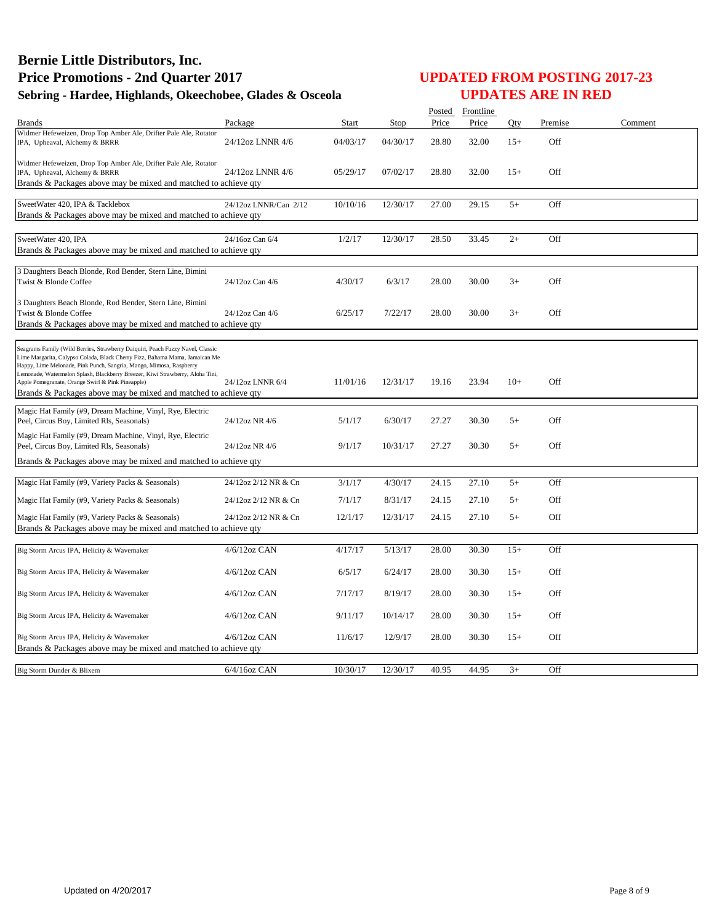|                                                                                                                                                                                                                                      |                       |          |          |       | Posted Frontline |       |         |         |
|--------------------------------------------------------------------------------------------------------------------------------------------------------------------------------------------------------------------------------------|-----------------------|----------|----------|-------|------------------|-------|---------|---------|
| <b>Brands</b><br>Widmer Hefeweizen, Drop Top Amber Ale, Drifter Pale Ale, Rotator                                                                                                                                                    | Package               | Start    | Stop     | Price | Price            | Oty   | Premise | Comment |
| IPA, Upheaval, Alchemy & BRRR                                                                                                                                                                                                        | 24/12oz LNNR 4/6      | 04/03/17 | 04/30/17 | 28.80 | 32.00            | $15+$ | Off     |         |
| Widmer Hefeweizen, Drop Top Amber Ale, Drifter Pale Ale, Rotator                                                                                                                                                                     |                       |          |          |       |                  |       |         |         |
| IPA, Upheaval, Alchemy & BRRR<br>Brands & Packages above may be mixed and matched to achieve qty                                                                                                                                     | 24/12oz LNNR 4/6      | 05/29/17 | 07/02/17 | 28.80 | 32.00            | $15+$ | Off     |         |
|                                                                                                                                                                                                                                      |                       |          |          |       |                  |       |         |         |
| SweetWater 420, IPA & Tacklebox                                                                                                                                                                                                      | 24/12oz LNNR/Can 2/12 | 10/10/16 | 12/30/17 | 27.00 | 29.15            | $5+$  | Off     |         |
| Brands & Packages above may be mixed and matched to achieve qty                                                                                                                                                                      |                       |          |          |       |                  |       |         |         |
|                                                                                                                                                                                                                                      |                       |          |          |       |                  |       |         |         |
| SweetWater 420, IPA                                                                                                                                                                                                                  | 24/16oz Can 6/4       | 1/2/17   | 12/30/17 | 28.50 | 33.45            | $2+$  | Off     |         |
| Brands & Packages above may be mixed and matched to achieve qty                                                                                                                                                                      |                       |          |          |       |                  |       |         |         |
| 3 Daughters Beach Blonde, Rod Bender, Stern Line, Bimini                                                                                                                                                                             |                       |          |          |       |                  |       |         |         |
| Twist & Blonde Coffee                                                                                                                                                                                                                | 24/12oz Can 4/6       | 4/30/17  | 6/3/17   | 28.00 | 30.00            | $3+$  | Off     |         |
|                                                                                                                                                                                                                                      |                       |          |          |       |                  |       |         |         |
| 3 Daughters Beach Blonde, Rod Bender, Stern Line, Bimini<br>Twist & Blonde Coffee                                                                                                                                                    | 24/12oz Can 4/6       | 6/25/17  | 7/22/17  | 28.00 | 30.00            | $3+$  | Off     |         |
| Brands & Packages above may be mixed and matched to achieve qty                                                                                                                                                                      |                       |          |          |       |                  |       |         |         |
|                                                                                                                                                                                                                                      |                       |          |          |       |                  |       |         |         |
| Seagrams Family (Wild Berries, Strawberry Daiquiri, Peach Fuzzy Navel, Classic<br>Lime Margarita, Calypso Colada, Black Cherry Fizz, Bahama Mama, Jamaican Me<br>Happy, Lime Melonade, Pink Punch, Sangria, Mango, Mimosa, Raspberry |                       |          |          |       |                  |       |         |         |
| Lemonade, Watermelon Splash, Blackberry Breezer, Kiwi Strawberry, Aloha Tini,                                                                                                                                                        |                       |          |          |       |                  |       |         |         |
| Apple Pomegranate, Orange Swirl & Pink Pineapple)<br>Brands & Packages above may be mixed and matched to achieve qty                                                                                                                 | 24/12oz LNNR 6/4      | 11/01/16 | 12/31/17 | 19.16 | 23.94            | $10+$ | Off     |         |
|                                                                                                                                                                                                                                      |                       |          |          |       |                  |       |         |         |
| Magic Hat Family (#9, Dream Machine, Vinyl, Rye, Electric                                                                                                                                                                            |                       |          |          |       |                  |       |         |         |
| Peel, Circus Boy, Limited Rls, Seasonals)                                                                                                                                                                                            | 24/12oz NR 4/6        | 5/1/17   | 6/30/17  | 27.27 | 30.30            | $5+$  | Off     |         |
| Magic Hat Family (#9, Dream Machine, Vinyl, Rye, Electric                                                                                                                                                                            |                       |          |          |       |                  |       |         |         |
| Peel, Circus Boy, Limited Rls, Seasonals)                                                                                                                                                                                            | 24/12oz NR 4/6        | 9/1/17   | 10/31/17 | 27.27 | 30.30            | $5+$  | Off     |         |
| Brands & Packages above may be mixed and matched to achieve qty                                                                                                                                                                      |                       |          |          |       |                  |       |         |         |
| Magic Hat Family (#9, Variety Packs & Seasonals)                                                                                                                                                                                     | 24/12oz 2/12 NR & Cn  | 3/1/17   | 4/30/17  | 24.15 | 27.10            | $5+$  | Off     |         |
|                                                                                                                                                                                                                                      |                       |          |          |       |                  |       |         |         |
| Magic Hat Family (#9, Variety Packs & Seasonals)                                                                                                                                                                                     | 24/12oz 2/12 NR & Cn  | 7/1/17   | 8/31/17  | 24.15 | 27.10            | $5+$  | Off     |         |
| Magic Hat Family (#9, Variety Packs & Seasonals)                                                                                                                                                                                     | 24/12oz 2/12 NR & Cn  | 12/1/17  | 12/31/17 | 24.15 | 27.10            | $5+$  | Off     |         |
| Brands & Packages above may be mixed and matched to achieve qty                                                                                                                                                                      |                       |          |          |       |                  |       |         |         |
|                                                                                                                                                                                                                                      | 4/6/12oz CAN          | 4/17/17  | 5/13/17  | 28.00 | 30.30            | $15+$ | Off     |         |
| Big Storm Arcus IPA, Helicity & Wavemaker                                                                                                                                                                                            |                       |          |          |       |                  |       |         |         |
| Big Storm Arcus IPA, Helicity & Wavemaker                                                                                                                                                                                            | $4/6/12$ oz CAN       | 6/5/17   | 6/24/17  | 28.00 | 30.30            | $15+$ | Off     |         |
|                                                                                                                                                                                                                                      |                       |          |          |       |                  |       |         |         |
| Big Storm Arcus IPA, Helicity & Wavemaker                                                                                                                                                                                            | $4/6/12oz$ CAN        | 7/17/17  | 8/19/17  | 28.00 | 30.30            | $15+$ | Off     |         |
|                                                                                                                                                                                                                                      |                       |          |          |       |                  |       |         |         |
| Big Storm Arcus IPA, Helicity & Wavemaker                                                                                                                                                                                            | $4/6/12$ oz CAN       | 9/11/17  | 10/14/17 | 28.00 | 30.30            | $15+$ | Off     |         |
| Big Storm Arcus IPA, Helicity & Wavemaker                                                                                                                                                                                            | $4/6/12$ oz CAN       | 11/6/17  | 12/9/17  | 28.00 | 30.30            | $15+$ | Off     |         |
| Brands & Packages above may be mixed and matched to achieve qty                                                                                                                                                                      |                       |          |          |       |                  |       |         |         |
|                                                                                                                                                                                                                                      |                       |          |          |       |                  |       |         |         |
| Big Storm Dunder & Blixem                                                                                                                                                                                                            | 6/4/16oz CAN          | 10/30/17 | 12/30/17 | 40.95 | 44.95            | $3+$  | Off     |         |